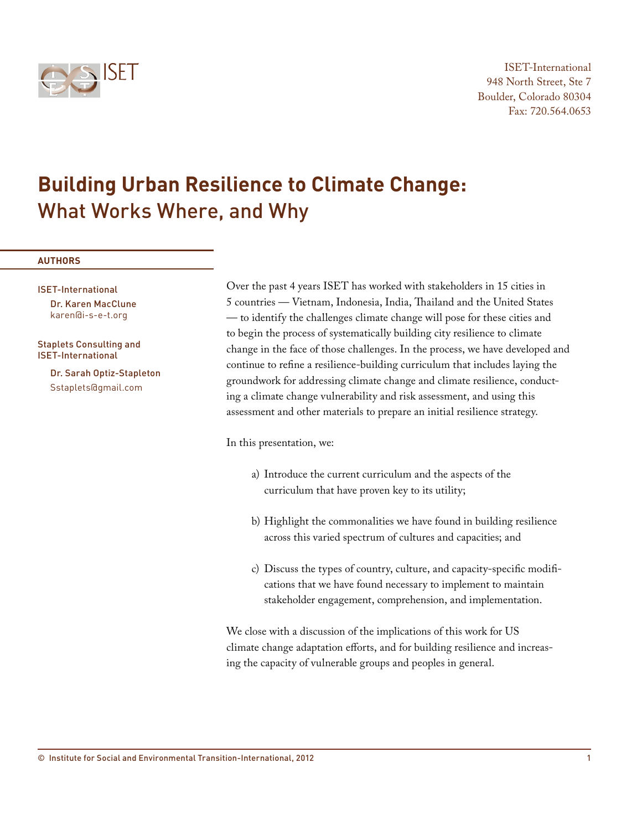

# **Building Urban Resilience to Climate Change:**  What Works Where, and Why

#### **AUTHORS**

ISET-International Dr. Karen MacClune karen@i-s-e-t.org

Staplets Consulting and ISET-International

> Dr. Sarah Optiz-Stapleton Sstaplets@gmail.com

Over the past 4 years ISET has worked with stakeholders in 15 cities in 5 countries — Vietnam, Indonesia, India, Thailand and the United States — to identify the challenges climate change will pose for these cities and to begin the process of systematically building city resilience to climate change in the face of those challenges. In the process, we have developed and continue to refine a resilience-building curriculum that includes laying the groundwork for addressing climate change and climate resilience, conducting a climate change vulnerability and risk assessment, and using this assessment and other materials to prepare an initial resilience strategy.

In this presentation, we:

- a) Introduce the current curriculum and the aspects of the curriculum that have proven key to its utility;
- b) Highlight the commonalities we have found in building resilience across this varied spectrum of cultures and capacities; and
- c) Discuss the types of country, culture, and capacity-specific modifications that we have found necessary to implement to maintain stakeholder engagement, comprehension, and implementation.

We close with a discussion of the implications of this work for US climate change adaptation efforts, and for building resilience and increasing the capacity of vulnerable groups and peoples in general.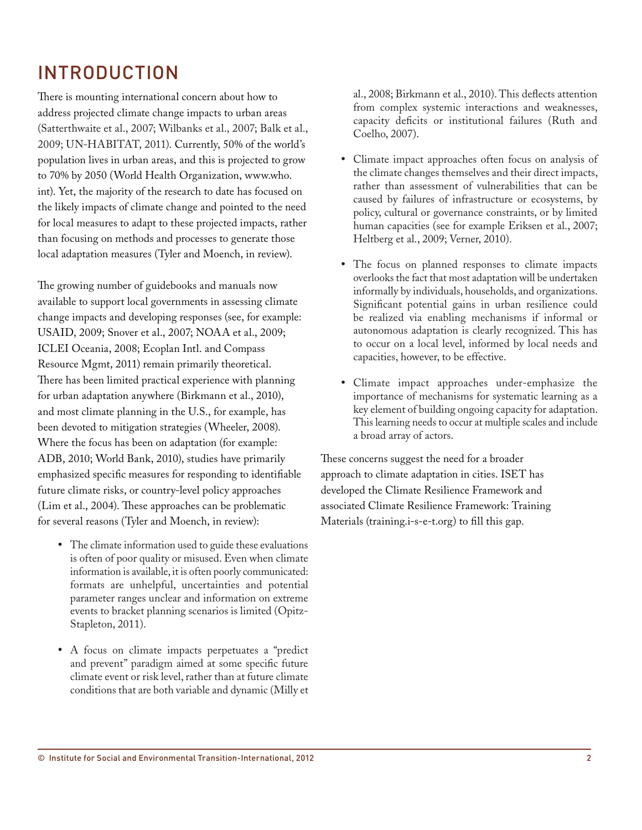# INTRODUCTION

There is mounting international concern about how to address projected climate change impacts to urban areas (Satterthwaite et al., 2007; Wilbanks et al., 2007; Balk et al., 2009; UN-HABITAT, 2011). Currently, 50% of the world's population lives in urban areas, and this is projected to grow to 70% by 2050 (World Health Organization, www.who. int). Yet, the majority of the research to date has focused on the likely impacts of climate change and pointed to the need for local measures to adapt to these projected impacts, rather than focusing on methods and processes to generate those local adaptation measures (Tyler and Moench, in review).

The growing number of guidebooks and manuals now available to support local governments in assessing climate change impacts and developing responses (see, for example: USAID, 2009; Snover et al., 2007; NOAA et al., 2009; ICLEI Oceania, 2008; Ecoplan Intl. and Compass Resource Mgmt, 2011) remain primarily theoretical. There has been limited practical experience with planning for urban adaptation anywhere (Birkmann et al., 2010), and most climate planning in the U.S., for example, has been devoted to mitigation strategies (Wheeler, 2008). Where the focus has been on adaptation (for example: ADB, 2010; World Bank, 2010), studies have primarily emphasized specific measures for responding to identifiable future climate risks, or country-level policy approaches (Lim et al., 2004). These approaches can be problematic for several reasons (Tyler and Moench, in review):

- • The climate information used to guide these evaluations is often of poor quality or misused. Even when climate information is available, it is often poorly communicated: formats are unhelpful, uncertainties and potential parameter ranges unclear and information on extreme events to bracket planning scenarios is limited (Opitz-Stapleton, 2011).
- • A focus on climate impacts perpetuates a "predict and prevent" paradigm aimed at some specific future climate event or risk level, rather than at future climate conditions that are both variable and dynamic (Milly et

al., 2008; Birkmann et al., 2010). This deflects attention from complex systemic interactions and weaknesses, capacity deficits or institutional failures (Ruth and Coelho, 2007).

- Climate impact approaches often focus on analysis of the climate changes themselves and their direct impacts, rather than assessment of vulnerabilities that can be caused by failures of infrastructure or ecosystems, by policy, cultural or governance constraints, or by limited human capacities (see for example Eriksen et al., 2007; Heltberg et al., 2009; Verner, 2010).
- The focus on planned responses to climate impacts overlooks the fact that most adaptation will be undertaken informally by individuals, households, and organizations. Significant potential gains in urban resilience could be realized via enabling mechanisms if informal or autonomous adaptation is clearly recognized. This has to occur on a local level, informed by local needs and capacities, however, to be effective.
- • Climate impact approaches under-emphasize the importance of mechanisms for systematic learning as a key element of building ongoing capacity for adaptation. This learning needs to occur at multiple scales and include a broad array of actors.

These concerns suggest the need for a broader approach to climate adaptation in cities. ISET has developed the Climate Resilience Framework and associated Climate Resilience Framework: Training Materials (training.i-s-e-t.org) to fill this gap.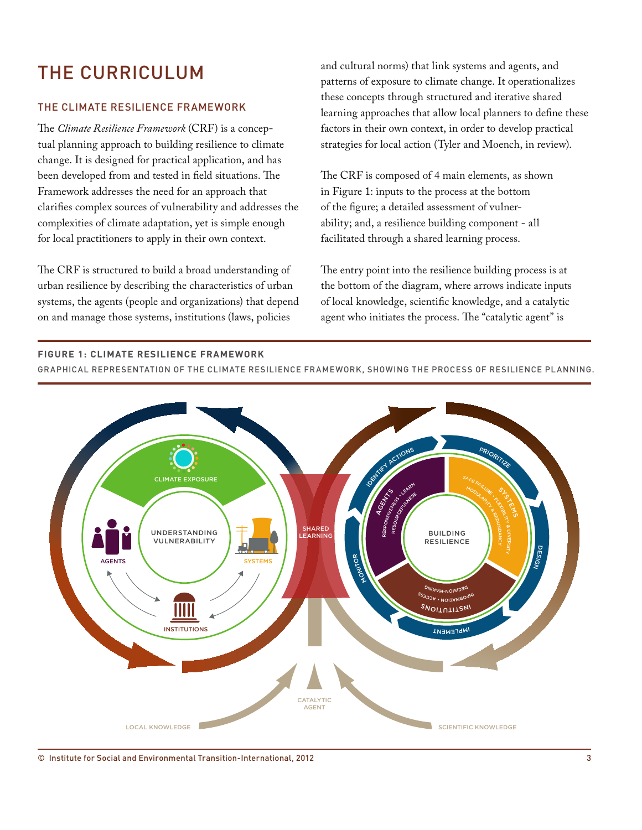# THE CURRICULUM

# THE CLIMATE RESILIENCE FRAMEWORK

The *Climate Resilience Framework* (CRF) is a conceptual planning approach to building resilience to climate change. It is designed for practical application, and has been developed from and tested in field situations. The Framework addresses the need for an approach that clarifies complex sources of vulnerability and addresses the complexities of climate adaptation, yet is simple enough for local practitioners to apply in their own context.

The CRF is structured to build a broad understanding of urban resilience by describing the characteristics of urban systems, the agents (people and organizations) that depend on and manage those systems, institutions (laws, policies

and cultural norms) that link systems and agents, and patterns of exposure to climate change. It operationalizes these concepts through structured and iterative shared learning approaches that allow local planners to define these factors in their own context, in order to develop practical strategies for local action (Tyler and Moench, in review).

The CRF is composed of 4 main elements, as shown in Figure 1: inputs to the process at the bottom of the figure; a detailed assessment of vulnerability; and, a resilience building component - all facilitated through a shared learning process.

The entry point into the resilience building process is at the bottom of the diagram, where arrows indicate inputs of local knowledge, scientific knowledge, and a catalytic agent who initiates the process. The "catalytic agent" is

#### **Figure 1: CLIMATE RESILIENCE FRAMEWORK**

**The Climate Resilience Framework** GRAPHICAL REPRESENTATION OF THE CLIMATE RESILIENCE FRAMEWORK, SHOWING THE PROCESS OF RESILIENCE PLANNING.



© Institute for Social and Environmental Transition-International, 2012 3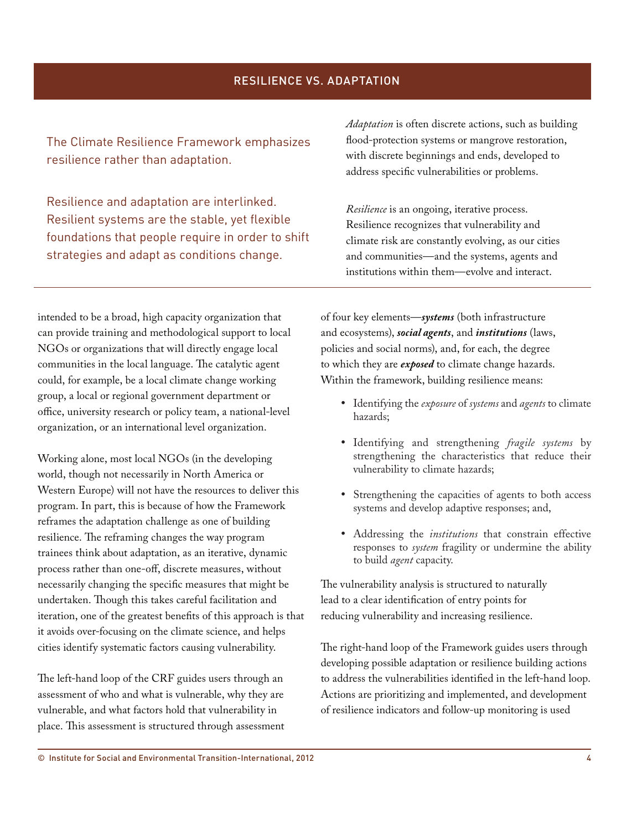The Climate Resilience Framework emphasizes resilience rather than adaptation.

Resilience and adaptation are interlinked. Resilient systems are the stable, yet flexible foundations that people require in order to shift strategies and adapt as conditions change.

*Adaptation* is often discrete actions, such as building flood-protection systems or mangrove restoration, with discrete beginnings and ends, developed to address specific vulnerabilities or problems.

*Resilience* is an ongoing, iterative process. Resilience recognizes that vulnerability and climate risk are constantly evolving, as our cities and communities—and the systems, agents and institutions within them—evolve and interact.

intended to be a broad, high capacity organization that can provide training and methodological support to local NGOs or organizations that will directly engage local communities in the local language. The catalytic agent could, for example, be a local climate change working group, a local or regional government department or office, university research or policy team, a national-level organization, or an international level organization.

Working alone, most local NGOs (in the developing world, though not necessarily in North America or Western Europe) will not have the resources to deliver this program. In part, this is because of how the Framework reframes the adaptation challenge as one of building resilience. The reframing changes the way program trainees think about adaptation, as an iterative, dynamic process rather than one-off, discrete measures, without necessarily changing the specific measures that might be undertaken. Though this takes careful facilitation and iteration, one of the greatest benefits of this approach is that it avoids over-focusing on the climate science, and helps cities identify systematic factors causing vulnerability.

The left-hand loop of the CRF guides users through an assessment of who and what is vulnerable, why they are vulnerable, and what factors hold that vulnerability in place. This assessment is structured through assessment of four key elements—*systems* (both infrastructure and ecosystems), *social agents*, and *institutions* (laws, policies and social norms), and, for each, the degree to which they are *exposed* to climate change hazards. Within the framework, building resilience means:

- • Identifying the *exposure* of *systems* and *agents* to climate hazards;
- • Identifying and strengthening *fragile systems* by strengthening the characteristics that reduce their vulnerability to climate hazards;
- • Strengthening the capacities of agents to both access systems and develop adaptive responses; and,
- • Addressing the *institutions* that constrain effective responses to *system* fragility or undermine the ability to build *agent* capacity.

The vulnerability analysis is structured to naturally lead to a clear identification of entry points for reducing vulnerability and increasing resilience.

The right-hand loop of the Framework guides users through developing possible adaptation or resilience building actions to address the vulnerabilities identified in the left-hand loop. Actions are prioritizing and implemented, and development of resilience indicators and follow-up monitoring is used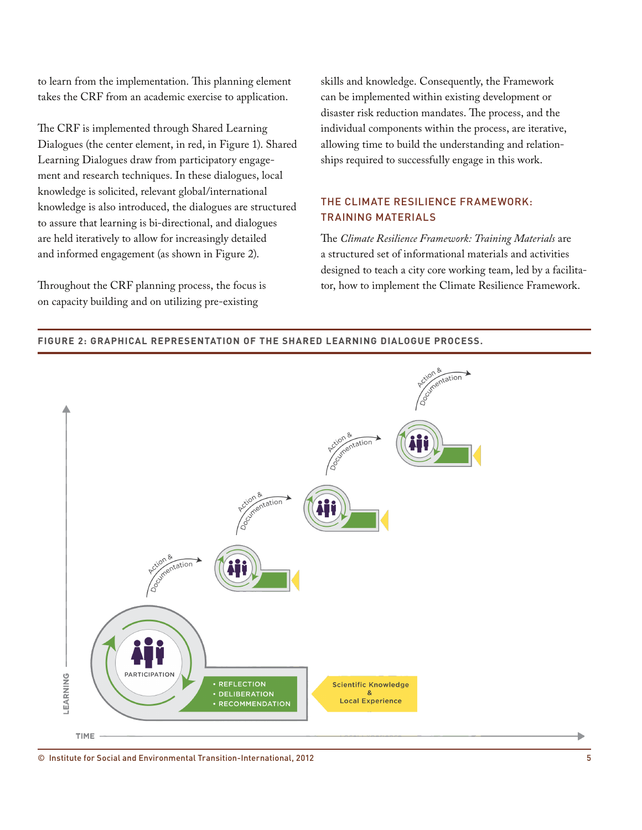to learn from the implementation. This planning element takes the CRF from an academic exercise to application.

The CRF is implemented through Shared Learning Dialogues (the center element, in red, in Figure 1). Shared Learning Dialogues draw from participatory engagement and research techniques. In these dialogues, local knowledge is solicited, relevant global/international knowledge is also introduced, the dialogues are structured to assure that learning is bi-directional, and dialogues are held iteratively to allow for increasingly detailed and informed engagement (as shown in Figure 2).

Throughout the CRF planning process, the focus is on capacity building and on utilizing pre-existing

skills and knowledge. Consequently, the Framework can be implemented within existing development or disaster risk reduction mandates. The process, and the individual components within the process, are iterative, allowing time to build the understanding and relationships required to successfully engage in this work.

# THE CLIMATE RESILIENCE FRAMEWORK: TRAINING MATERIALS

The *Climate Resilience Framework: Training Materials* are a structured set of informational materials and activities designed to teach a city core working team, led by a facilitator, how to implement the Climate Resilience Framework.



#### **Figure 2: GRAPHICAL REPRESENTATION OF THE SHARED LEARNING DIALOGUE PROCESS.**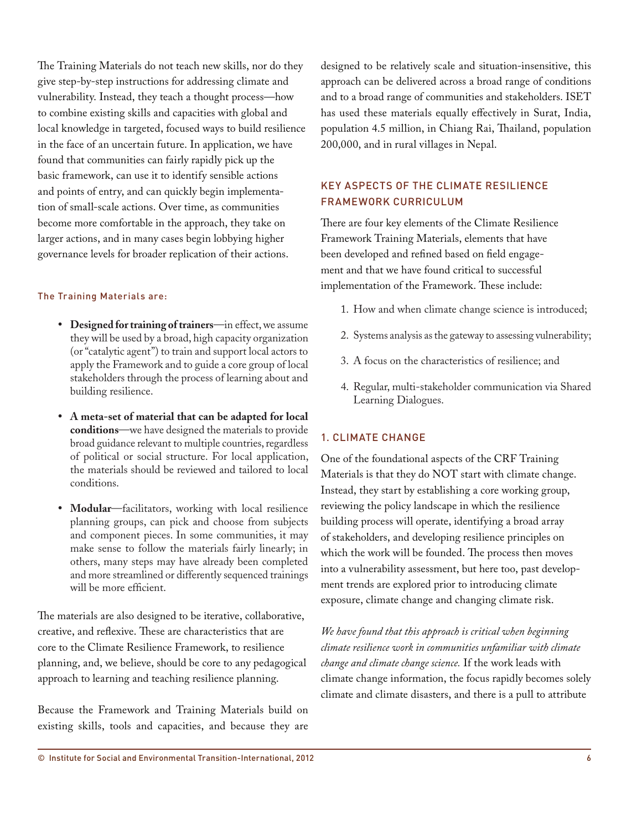The Training Materials do not teach new skills, nor do they give step-by-step instructions for addressing climate and vulnerability. Instead, they teach a thought process—how to combine existing skills and capacities with global and local knowledge in targeted, focused ways to build resilience in the face of an uncertain future. In application, we have found that communities can fairly rapidly pick up the basic framework, can use it to identify sensible actions and points of entry, and can quickly begin implementation of small-scale actions. Over time, as communities become more comfortable in the approach, they take on larger actions, and in many cases begin lobbying higher governance levels for broader replication of their actions.

#### The Training Materials are:

- • **Designed for training of trainers**—in effect, we assume they will be used by a broad, high capacity organization (or "catalytic agent") to train and support local actors to apply the Framework and to guide a core group of local stakeholders through the process of learning about and building resilience.
- • **A meta-set of material that can be adapted for local conditions**—we have designed the materials to provide broad guidance relevant to multiple countries, regardless of political or social structure. For local application, the materials should be reviewed and tailored to local conditions.
- **Modular**—facilitators, working with local resilience planning groups, can pick and choose from subjects and component pieces. In some communities, it may make sense to follow the materials fairly linearly; in others, many steps may have already been completed and more streamlined or differently sequenced trainings will be more efficient.

The materials are also designed to be iterative, collaborative, creative, and reflexive. These are characteristics that are core to the Climate Resilience Framework, to resilience planning, and, we believe, should be core to any pedagogical approach to learning and teaching resilience planning.

Because the Framework and Training Materials build on existing skills, tools and capacities, and because they are designed to be relatively scale and situation-insensitive, this approach can be delivered across a broad range of conditions and to a broad range of communities and stakeholders. ISET has used these materials equally effectively in Surat, India, population 4.5 million, in Chiang Rai, Thailand, population 200,000, and in rural villages in Nepal.

# KEY ASPECTS OF THE CLIMATE RESILIENCE FRAMEWORK CURRICULUM

There are four key elements of the Climate Resilience Framework Training Materials, elements that have been developed and refined based on field engagement and that we have found critical to successful implementation of the Framework. These include:

- 1. How and when climate change science is introduced;
- 2. Systems analysis as the gateway to assessing vulnerability;
- 3. A focus on the characteristics of resilience; and
- 4. Regular, multi-stakeholder communication via Shared Learning Dialogues.

#### 1. CLIMATE CHANGE

One of the foundational aspects of the CRF Training Materials is that they do NOT start with climate change. Instead, they start by establishing a core working group, reviewing the policy landscape in which the resilience building process will operate, identifying a broad array of stakeholders, and developing resilience principles on which the work will be founded. The process then moves into a vulnerability assessment, but here too, past development trends are explored prior to introducing climate exposure, climate change and changing climate risk.

*We have found that this approach is critical when beginning climate resilience work in communities unfamiliar with climate change and climate change science.* If the work leads with climate change information, the focus rapidly becomes solely climate and climate disasters, and there is a pull to attribute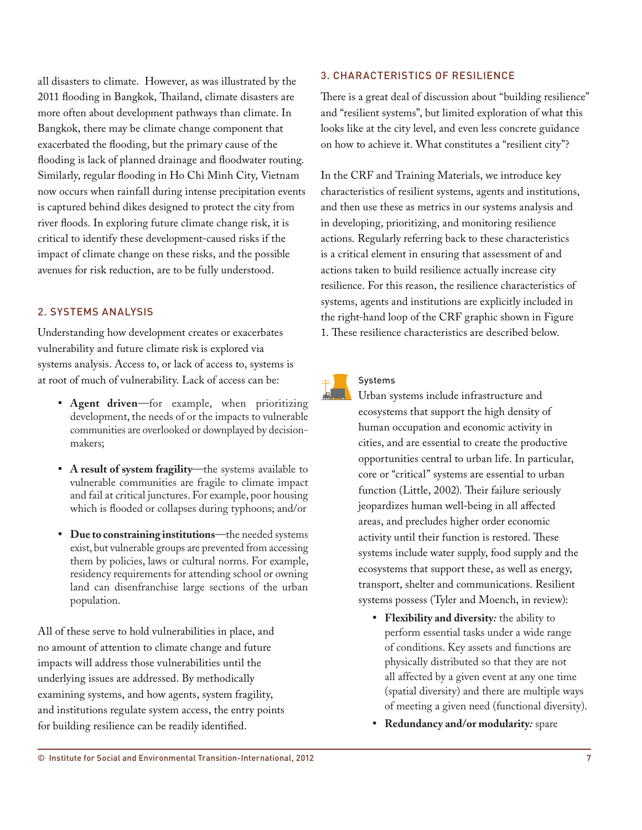all disasters to climate. However, as was illustrated by the 2011 flooding in Bangkok, Thailand, climate disasters are more often about development pathways than climate. In Bangkok, there may be climate change component that exacerbated the flooding, but the primary cause of the flooding is lack of planned drainage and floodwater routing. Similarly, regular flooding in Ho Chi Minh City, Vietnam now occurs when rainfall during intense precipitation events is captured behind dikes designed to protect the city from river floods. In exploring future climate change risk, it is critical to identify these development-caused risks if the impact of climate change on these risks, and the possible avenues for risk reduction, are to be fully understood.

## 2. SYSTEMS ANALYSIS

Understanding how development creates or exacerbates vulnerability and future climate risk is explored via systems analysis. Access to, or lack of access to, systems is at root of much of vulnerability. Lack of access can be:

- • **Agent driven**—for example, when prioritizing development, the needs of or the impacts to vulnerable communities are overlooked or downplayed by decisionmakers;
- • **A result of system fragility**—the systems available to vulnerable communities are fragile to climate impact and fail at critical junctures. For example, poor housing which is flooded or collapses during typhoons; and/or
- • **Due to constraining institutions**—the needed systems exist, but vulnerable groups are prevented from accessing them by policies, laws or cultural norms. For example, residency requirements for attending school or owning land can disenfranchise large sections of the urban population.

All of these serve to hold vulnerabilities in place, and no amount of attention to climate change and future impacts will address those vulnerabilities until the underlying issues are addressed. By methodically examining systems, and how agents, system fragility, and institutions regulate system access, the entry points for building resilience can be readily identified.

### 3. CHARACTERISTICS OF RESILIENCE

There is a great deal of discussion about "building resilience" and "resilient systems", but limited exploration of what this looks like at the city level, and even less concrete guidance on how to achieve it. What constitutes a "resilient city"?

In the CRF and Training Materials, we introduce key characteristics of resilient systems, agents and institutions, and then use these as metrics in our systems analysis and in developing, prioritizing, and monitoring resilience actions. Regularly referring back to these characteristics is a critical element in ensuring that assessment of and actions taken to build resilience actually increase city resilience. For this reason, the resilience characteristics of systems, agents and institutions are explicitly included in the right-hand loop of the CRF graphic shown in Figure 1. These resilience characteristics are described below.



#### Systems

Urban systems include infrastructure and ecosystems that support the high density of human occupation and economic activity in cities, and are essential to create the productive opportunities central to urban life. In particular, core or "critical" systems are essential to urban function (Little, 2002). Their failure seriously jeopardizes human well-being in all affected areas, and precludes higher order economic activity until their function is restored. These systems include water supply, food supply and the ecosystems that support these, as well as energy, transport, shelter and communications. Resilient systems possess (Tyler and Moench, in review):

- • **Flexibility and diversity***:* the ability to perform essential tasks under a wide range of conditions. Key assets and functions are physically distributed so that they are not all affected by a given event at any one time (spatial diversity) and there are multiple ways of meeting a given need (functional diversity).
- • **Redundancy and/or modularity***:* spare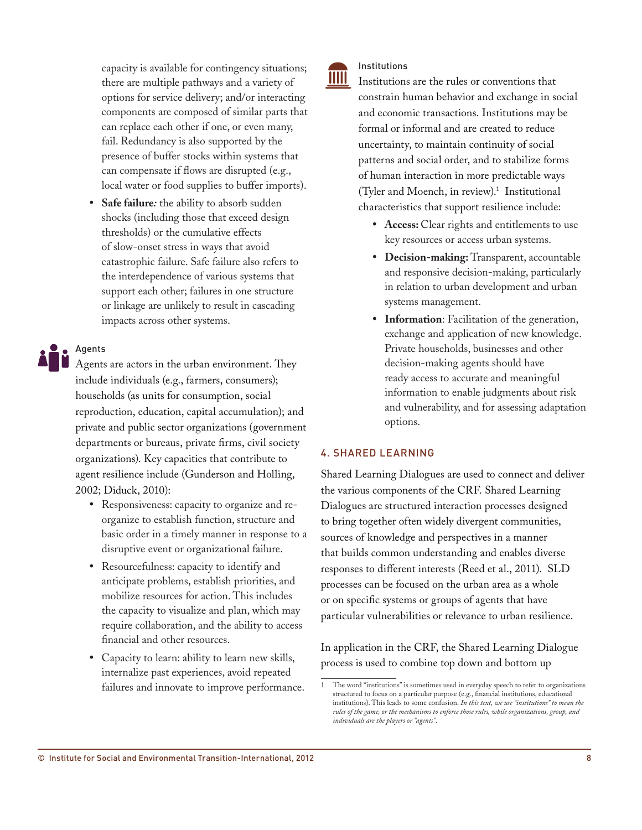capacity is available for contingency situations; there are multiple pathways and a variety of options for service delivery; and/or interacting components are composed of similar parts that can replace each other if one, or even many, fail. Redundancy is also supported by the presence of buffer stocks within systems that can compensate if flows are disrupted (e.g., local water or food supplies to buffer imports).

• **Safe failure***:* the ability to absorb sudden shocks (including those that exceed design thresholds) or the cumulative effects of slow-onset stress in ways that avoid catastrophic failure. Safe failure also refers to the interdependence of various systems that support each other; failures in one structure or linkage are unlikely to result in cascading impacts across other systems.

## Agents

Agents are actors in the urban environment. They include individuals (e.g., farmers, consumers); households (as units for consumption, social reproduction, education, capital accumulation); and private and public sector organizations (government departments or bureaus, private firms, civil society organizations). Key capacities that contribute to agent resilience include (Gunderson and Holling, 2002; Diduck, 2010):

- Responsiveness: capacity to organize and reorganize to establish function, structure and basic order in a timely manner in response to a disruptive event or organizational failure.
- Resourcefulness: capacity to identify and anticipate problems, establish priorities, and mobilize resources for action. This includes the capacity to visualize and plan, which may require collaboration, and the ability to access financial and other resources.
- Capacity to learn: ability to learn new skills, internalize past experiences, avoid repeated failures and innovate to improve performance.

#### Institutions IIIII

Institutions are the rules or conventions that constrain human behavior and exchange in social and economic transactions. Institutions may be formal or informal and are created to reduce uncertainty, to maintain continuity of social patterns and social order, and to stabilize forms of human interaction in more predictable ways (Tyler and Moench, in review).1 Institutional characteristics that support resilience include:

- • **Access:** Clear rights and entitlements to use key resources or access urban systems.
- • **Decision-making:** Transparent, accountable and responsive decision-making, particularly in relation to urban development and urban systems management.
- • **Information**: Facilitation of the generation, exchange and application of new knowledge. Private households, businesses and other decision-making agents should have ready access to accurate and meaningful information to enable judgments about risk and vulnerability, and for assessing adaptation options.

#### 4. SHARED LEARNING

Shared Learning Dialogues are used to connect and deliver the various components of the CRF. Shared Learning Dialogues are structured interaction processes designed to bring together often widely divergent communities, sources of knowledge and perspectives in a manner that builds common understanding and enables diverse responses to different interests (Reed et al., 2011). SLD processes can be focused on the urban area as a whole or on specific systems or groups of agents that have particular vulnerabilities or relevance to urban resilience.

In application in the CRF, the Shared Learning Dialogue process is used to combine top down and bottom up

<sup>1</sup> The word "institutions" is sometimes used in everyday speech to refer to organizations structured to focus on a particular purpose (e.g., financial institutions, educational institutions). This leads to some confusion. *In this text, we use "institutions" to mean the rules of the game, or the mechanisms to enforce those rules, while organizations, group, and individuals are the players or "agents"*.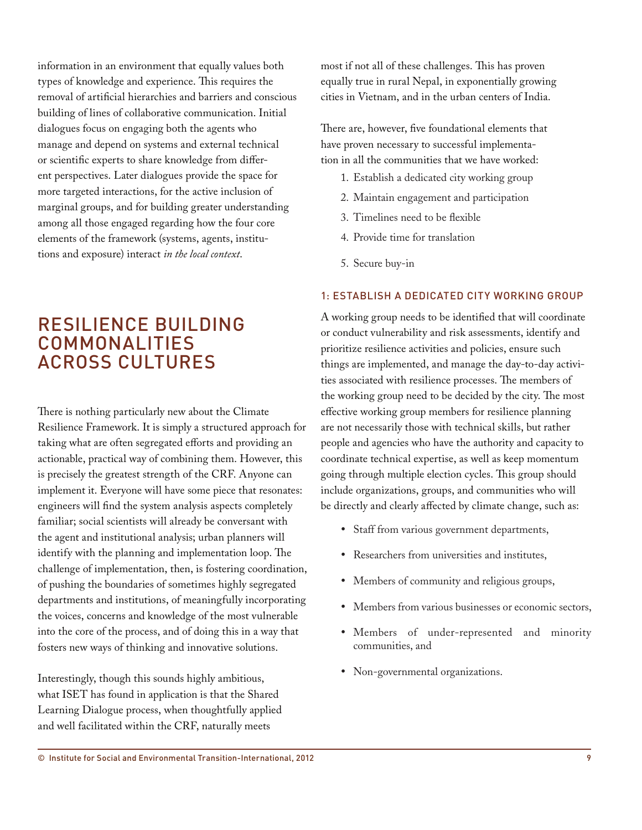information in an environment that equally values both types of knowledge and experience. This requires the removal of artificial hierarchies and barriers and conscious building of lines of collaborative communication. Initial dialogues focus on engaging both the agents who manage and depend on systems and external technical or scientific experts to share knowledge from different perspectives. Later dialogues provide the space for more targeted interactions, for the active inclusion of marginal groups, and for building greater understanding among all those engaged regarding how the four core elements of the framework (systems, agents, institutions and exposure) interact *in the local context*.

# RESILIENCE BUILDING COMMONALITIES ACROSS CULTURES

There is nothing particularly new about the Climate Resilience Framework. It is simply a structured approach for taking what are often segregated efforts and providing an actionable, practical way of combining them. However, this is precisely the greatest strength of the CRF. Anyone can implement it. Everyone will have some piece that resonates: engineers will find the system analysis aspects completely familiar; social scientists will already be conversant with the agent and institutional analysis; urban planners will identify with the planning and implementation loop. The challenge of implementation, then, is fostering coordination, of pushing the boundaries of sometimes highly segregated departments and institutions, of meaningfully incorporating the voices, concerns and knowledge of the most vulnerable into the core of the process, and of doing this in a way that fosters new ways of thinking and innovative solutions.

Interestingly, though this sounds highly ambitious, what ISET has found in application is that the Shared Learning Dialogue process, when thoughtfully applied and well facilitated within the CRF, naturally meets

most if not all of these challenges. This has proven equally true in rural Nepal, in exponentially growing cities in Vietnam, and in the urban centers of India.

There are, however, five foundational elements that have proven necessary to successful implementation in all the communities that we have worked:

- 1. Establish a dedicated city working group
- 2. Maintain engagement and participation
- 3. Timelines need to be flexible
- 4. Provide time for translation
- 5. Secure buy-in

## 1: ESTABLISH A DEDICATED CITY WORKING GROUP

A working group needs to be identified that will coordinate or conduct vulnerability and risk assessments, identify and prioritize resilience activities and policies, ensure such things are implemented, and manage the day-to-day activities associated with resilience processes. The members of the working group need to be decided by the city. The most effective working group members for resilience planning are not necessarily those with technical skills, but rather people and agencies who have the authority and capacity to coordinate technical expertise, as well as keep momentum going through multiple election cycles. This group should include organizations, groups, and communities who will be directly and clearly affected by climate change, such as:

- • Staff from various government departments,
- Researchers from universities and institutes,
- • Members of community and religious groups,
- Members from various businesses or economic sectors,
- Members of under-represented and minority communities, and
- Non-governmental organizations.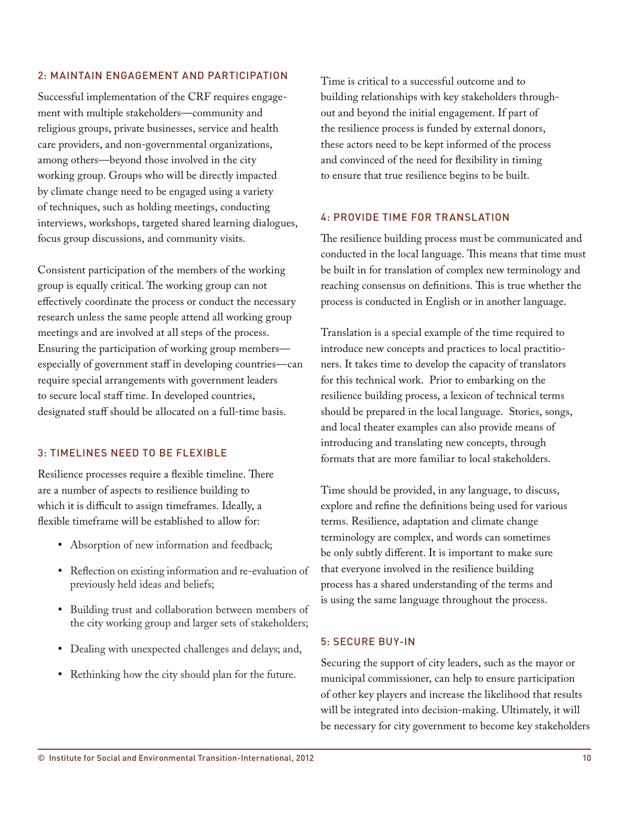### 2: MAINTAIN ENGAGEMENT AND PARTICIPATION

Successful implementation of the CRF requires engagement with multiple stakeholders—community and religious groups, private businesses, service and health care providers, and non-governmental organizations, among others—beyond those involved in the city working group. Groups who will be directly impacted by climate change need to be engaged using a variety of techniques, such as holding meetings, conducting interviews, workshops, targeted shared learning dialogues, focus group discussions, and community visits.

Consistent participation of the members of the working group is equally critical. The working group can not effectively coordinate the process or conduct the necessary research unless the same people attend all working group meetings and are involved at all steps of the process. Ensuring the participation of working group members especially of government staff in developing countries—can require special arrangements with government leaders to secure local staff time. In developed countries, designated staff should be allocated on a full-time basis.

### 3: TIMELINES NEED TO BE FLEXIBLE

Resilience processes require a flexible timeline. There are a number of aspects to resilience building to which it is difficult to assign timeframes. Ideally, a flexible timeframe will be established to allow for:

- Absorption of new information and feedback;
- • Reflection on existing information and re-evaluation of previously held ideas and beliefs;
- Building trust and collaboration between members of the city working group and larger sets of stakeholders;
- Dealing with unexpected challenges and delays; and,
- Rethinking how the city should plan for the future.

Time is critical to a successful outcome and to building relationships with key stakeholders throughout and beyond the initial engagement. If part of the resilience process is funded by external donors, these actors need to be kept informed of the process and convinced of the need for flexibility in timing to ensure that true resilience begins to be built.

#### 4: PROVIDE TIME FOR TRANSLATION

The resilience building process must be communicated and conducted in the local language. This means that time must be built in for translation of complex new terminology and reaching consensus on definitions. This is true whether the process is conducted in English or in another language.

Translation is a special example of the time required to introduce new concepts and practices to local practitioners. It takes time to develop the capacity of translators for this technical work. Prior to embarking on the resilience building process, a lexicon of technical terms should be prepared in the local language. Stories, songs, and local theater examples can also provide means of introducing and translating new concepts, through formats that are more familiar to local stakeholders.

Time should be provided, in any language, to discuss, explore and refine the definitions being used for various terms. Resilience, adaptation and climate change terminology are complex, and words can sometimes be only subtly different. It is important to make sure that everyone involved in the resilience building process has a shared understanding of the terms and is using the same language throughout the process.

#### 5: SECURE BUY-IN

Securing the support of city leaders, such as the mayor or municipal commissioner, can help to ensure participation of other key players and increase the likelihood that results will be integrated into decision-making. Ultimately, it will be necessary for city government to become key stakeholders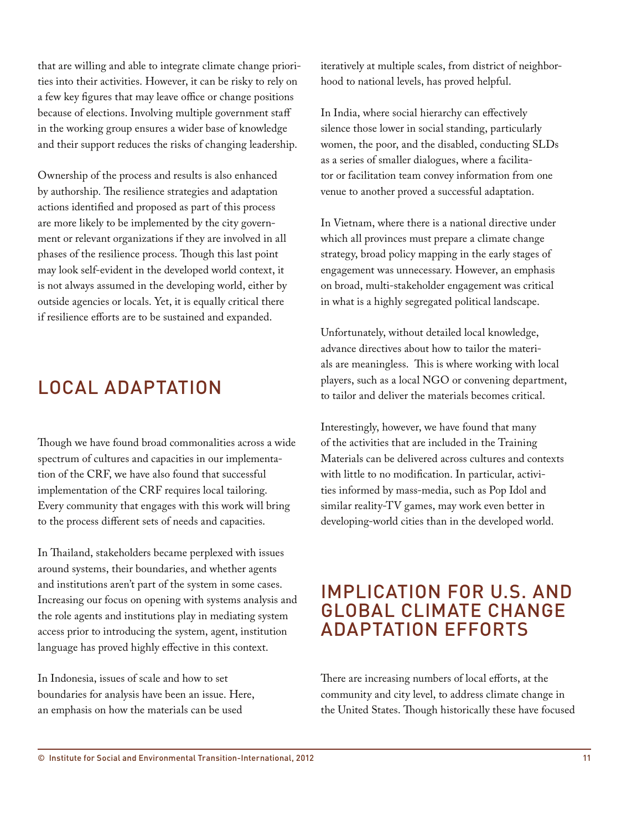that are willing and able to integrate climate change priorities into their activities. However, it can be risky to rely on a few key figures that may leave office or change positions because of elections. Involving multiple government staff in the working group ensures a wider base of knowledge and their support reduces the risks of changing leadership.

Ownership of the process and results is also enhanced by authorship. The resilience strategies and adaptation actions identified and proposed as part of this process are more likely to be implemented by the city government or relevant organizations if they are involved in all phases of the resilience process. Though this last point may look self-evident in the developed world context, it is not always assumed in the developing world, either by outside agencies or locals. Yet, it is equally critical there if resilience efforts are to be sustained and expanded.

# LOCAL ADAPTATION

Though we have found broad commonalities across a wide spectrum of cultures and capacities in our implementation of the CRF, we have also found that successful implementation of the CRF requires local tailoring. Every community that engages with this work will bring to the process different sets of needs and capacities.

In Thailand, stakeholders became perplexed with issues around systems, their boundaries, and whether agents and institutions aren't part of the system in some cases. Increasing our focus on opening with systems analysis and the role agents and institutions play in mediating system access prior to introducing the system, agent, institution language has proved highly effective in this context.

In Indonesia, issues of scale and how to set boundaries for analysis have been an issue. Here, an emphasis on how the materials can be used

iteratively at multiple scales, from district of neighborhood to national levels, has proved helpful.

In India, where social hierarchy can effectively silence those lower in social standing, particularly women, the poor, and the disabled, conducting SLDs as a series of smaller dialogues, where a facilitator or facilitation team convey information from one venue to another proved a successful adaptation.

In Vietnam, where there is a national directive under which all provinces must prepare a climate change strategy, broad policy mapping in the early stages of engagement was unnecessary. However, an emphasis on broad, multi-stakeholder engagement was critical in what is a highly segregated political landscape.

Unfortunately, without detailed local knowledge, advance directives about how to tailor the materials are meaningless. This is where working with local players, such as a local NGO or convening department, to tailor and deliver the materials becomes critical.

Interestingly, however, we have found that many of the activities that are included in the Training Materials can be delivered across cultures and contexts with little to no modification. In particular, activities informed by mass-media, such as Pop Idol and similar reality-TV games, may work even better in developing-world cities than in the developed world.

# IMPLICATION FOR U.S. AND GLOBAL CLIMATE CHANGE ADAPTATION EFFORTS

There are increasing numbers of local efforts, at the community and city level, to address climate change in the United States. Though historically these have focused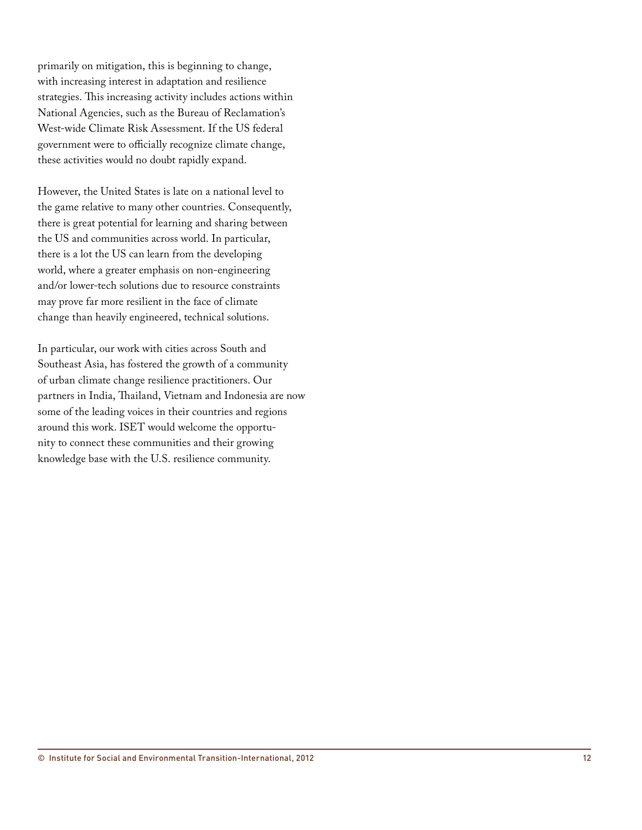primarily on mitigation, this is beginning to change, with increasing interest in adaptation and resilience strategies. This increasing activity includes actions within National Agencies, such as the Bureau of Reclamation's West-wide Climate Risk Assessment. If the US federal government were to officially recognize climate change, these activities would no doubt rapidly expand.

However, the United States is late on a national level to the game relative to many other countries. Consequently, there is great potential for learning and sharing between the US and communities across world. In particular, there is a lot the US can learn from the developing world, where a greater emphasis on non-engineering and/or lower-tech solutions due to resource constraints may prove far more resilient in the face of climate change than heavily engineered, technical solutions.

In particular, our work with cities across South and Southeast Asia, has fostered the growth of a community of urban climate change resilience practitioners. Our partners in India, Thailand, Vietnam and Indonesia are now some of the leading voices in their countries and regions around this work. ISET would welcome the opportunity to connect these communities and their growing knowledge base with the U.S. resilience community.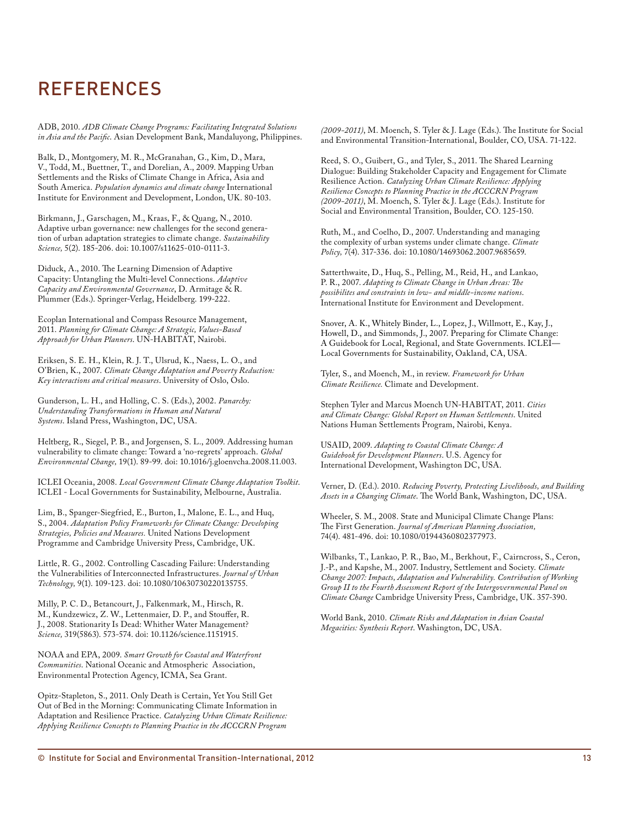# REFERENCES

ADB, 2010. *ADB Climate Change Programs: Facilitating Integrated Solutions in Asia and the Pacific*. Asian Development Bank, Mandaluyong, Philippines.

Balk, D., Montgomery, M. R., McGranahan, G., Kim, D., Mara, V., Todd, M., Buettner, T., and Dorelian, A., 2009. Mapping Urban Settlements and the Risks of Climate Change in Africa, Asia and South America. *Population dynamics and climate change* International Institute for Environment and Development, London, UK. 80-103.

Birkmann, J., Garschagen, M., Kraas, F., & Quang, N., 2010. Adaptive urban governance: new challenges for the second generation of urban adaptation strategies to climate change. *Sustainability Science,* 5(2). 185-206. doi: 10.1007/s11625-010-0111-3.

Diduck, A., 2010. The Learning Dimension of Adaptive Capacity: Untangling the Multi-level Connections. *Adaptive Capacity and Environmental Governance*, D. Armitage & R. Plummer (Eds.). Springer-Verlag, Heidelberg. 199-222.

Ecoplan International and Compass Resource Management, 2011. *Planning for Climate Change: A Strategic, Values-Based Approach for Urban Planners*. UN-HABITAT, Nairobi.

Eriksen, S. E. H., Klein, R. J. T., Ulsrud, K., Naess, L. O., and O'Brien, K., 2007. *Climate Change Adaptation and Poverty Reduction: Key interactions and critical measures*. University of Oslo, Oslo.

Gunderson, L. H., and Holling, C. S. (Eds.), 2002. *Panarchy: Understanding Transformations in Human and Natural Systems*. Island Press, Washington, DC, USA.

Heltberg, R., Siegel, P. B., and Jorgensen, S. L., 2009. Addressing human vulnerability to climate change: Toward a 'no-regrets' approach. *Global Environmental Change,* 19(1). 89-99. doi: 10.1016/j.gloenvcha.2008.11.003.

ICLEI Oceania, 2008. *Local Government Climate Change Adaptation Toolkit*. ICLEI - Local Governments for Sustainability, Melbourne, Australia.

Lim, B., Spanger-Siegfried, E., Burton, I., Malone, E. L., and Huq, S., 2004. *Adaptation Policy Frameworks for Climate Change: Developing Strategies, Policies and Measures.* United Nations Development Programme and Cambridge University Press, Cambridge, UK.

Little, R. G., 2002. Controlling Cascading Failure: Understanding the Vulnerabilities of Interconnected Infrastructures. *Journal of Urban Technology,* 9(1). 109-123. doi: 10.1080/10630730220135755.

Milly, P. C. D., Betancourt, J., Falkenmark, M., Hirsch, R. M., Kundzewicz, Z. W., Lettenmaier, D. P., and Stouffer, R. J., 2008. Stationarity Is Dead: Whither Water Management? *Science,* 319(5863). 573-574. doi: 10.1126/science.1151915.

NOAA and EPA, 2009. *Smart Growth for Coastal and Waterfront Communities*. National Oceanic and Atmospheric Association, Environmental Protection Agency, ICMA, Sea Grant.

Opitz-Stapleton, S., 2011. Only Death is Certain, Yet You Still Get Out of Bed in the Morning: Communicating Climate Information in Adaptation and Resilience Practice. *Catalyzing Urban Climate Resilience: Applying Resilience Concepts to Planning Practice in the ACCCRN Program* 

*(2009-2011)*, M. Moench, S. Tyler & J. Lage (Eds.). The Institute for Social and Environmental Transition-International, Boulder, CO, USA. 71-122.

Reed, S. O., Guibert, G., and Tyler, S., 2011. The Shared Learning Dialogue: Building Stakeholder Capacity and Engagement for Climate Resilience Action. *Catalyzing Urban Climate Resilience: Applying Resilience Concepts to Planning Practice in the ACCCRN Program (2009-2011)*, M. Moench, S. Tyler & J. Lage (Eds.). Institute for Social and Environmental Transition, Boulder, CO. 125-150.

Ruth, M., and Coelho, D., 2007. Understanding and managing the complexity of urban systems under climate change. *Climate Policy,* 7(4). 317-336. doi: 10.1080/14693062.2007.9685659.

Satterthwaite, D., Huq, S., Pelling, M., Reid, H., and Lankao, P. R., 2007. *Adapting to Climate Change in Urban Areas: The possibilites and constraints in low- and middle-income nations*. International Institute for Environment and Development.

Snover, A. K., Whitely Binder, L., Lopez, J., Willmott, E., Kay, J., Howell, D., and Simmonds, J., 2007. Preparing for Climate Change: A Guidebook for Local, Regional, and State Governments. ICLEI— Local Governments for Sustainability, Oakland, CA, USA.

Tyler, S., and Moench, M., in review. *Framework for Urban Climate Resilience.* Climate and Development.

Stephen Tyler and Marcus Moench UN-HABITAT, 2011. *Cities and Climate Change: Global Report on Human Settlements*. United Nations Human Settlements Program, Nairobi, Kenya.

USAID, 2009. *Adapting to Coastal Climate Change: A Guidebook for Development Planners*. U.S. Agency for International Development, Washington DC, USA.

Verner, D. (Ed.). 2010. *Reducing Poverty, Protecting Livelihoods, and Building Assets in a Changing Climate*. The World Bank, Washington, DC, USA.

Wheeler, S. M., 2008. State and Municipal Climate Change Plans: The First Generation. *Journal of American Planning Association,*  74(4). 481-496. doi: 10.1080/01944360802377973.

Wilbanks, T., Lankao, P. R., Bao, M., Berkhout, F., Cairncross, S., Ceron, J.-P., and Kapshe, M., 2007. Industry, Settlement and Society. *Climate Change 2007: Impacts, Adaptation and Vulnerability. Contribution of Working Group II to the Fourth Assessment Report of the Intergovernmental Panel on Climate Change* Cambridge University Press, Cambridge, UK. 357-390.

World Bank, 2010. *Climate Risks and Adaptation in Asian Coastal Megacities: Synthesis Report*. Washington, DC, USA.